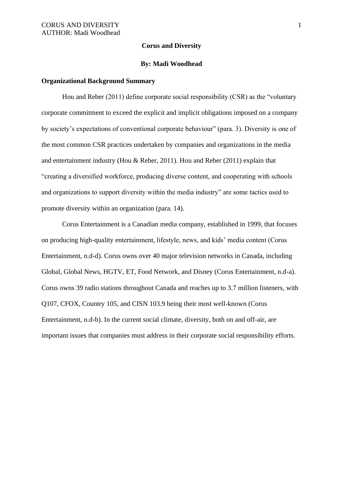#### **Corus and Diversity**

#### **By: Madi Woodhead**

## **Organizational Background Summary**

Hou and Reber (2011) define corporate social responsibility (CSR) as the "voluntary corporate commitment to exceed the explicit and implicit obligations imposed on a company by society's expectations of conventional corporate behaviour" (para. 3). Diversity is one of the most common CSR practices undertaken by companies and organizations in the media and entertainment industry (Hou & Reber, 2011). Hou and Reber (2011) explain that "creating a diversified workforce, producing diverse content, and cooperating with schools and organizations to support diversity within the media industry" are some tactics used to promote diversity within an organization (para. 14).

Corus Entertainment is a Canadian media company, established in 1999, that focuses on producing high-quality entertainment, lifestyle, news, and kids' media content (Corus Entertainment, n.d-d). Corus owns over 40 major television networks in Canada, including Global, Global News, HGTV, ET, Food Network, and Disney (Corus Entertainment, n.d-a). Corus owns 39 radio stations throughout Canada and reaches up to 3.7 million listeners, with Q107, CFOX, Country 105, and CISN 103.9 being their most well-known (Corus Entertainment, n.d-b). In the current social climate, diversity, both on and off-air, are important issues that companies must address in their corporate social responsibility efforts.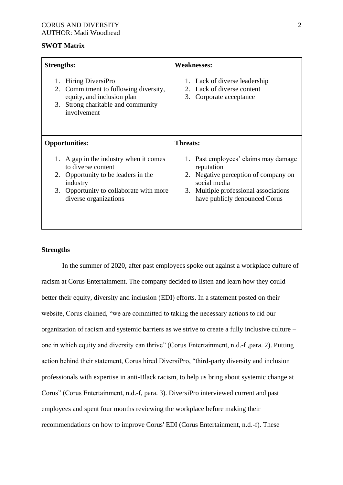## **SWOT Matrix**

| <b>Strengths:</b>                                                                                                                                                                            | <b>Weaknesses:</b>                                                                                                                                                                         |
|----------------------------------------------------------------------------------------------------------------------------------------------------------------------------------------------|--------------------------------------------------------------------------------------------------------------------------------------------------------------------------------------------|
| Hiring DiversiPro<br>1.<br>Commitment to following diversity,<br>2.<br>equity, and inclusion plan<br>Strong charitable and community<br>3.<br>involvement                                    | 1. Lack of diverse leadership<br>2. Lack of diverse content<br>3.<br>Corporate acceptance                                                                                                  |
| <b>Opportunities:</b>                                                                                                                                                                        | <b>Threats:</b>                                                                                                                                                                            |
| A gap in the industry when it comes<br>1.<br>to diverse content<br>Opportunity to be leaders in the<br>2.<br>industry<br>Opportunity to collaborate with more<br>3.<br>diverse organizations | 1. Past employees' claims may damage<br>reputation<br>Negative perception of company on<br>2.<br>social media<br>Multiple professional associations<br>3.<br>have publicly denounced Corus |

# **Strengths**

In the summer of 2020, after past employees spoke out against a workplace culture of racism at Corus Entertainment. The company decided to listen and learn how they could better their equity, diversity and inclusion (EDI) efforts. In a statement posted on their website, Corus claimed, "we are committed to taking the necessary actions to rid our organization of racism and systemic barriers as we strive to create a fully inclusive culture – one in which equity and diversity can thrive" (Corus Entertainment, n.d.-f ,para. 2). Putting action behind their statement, Corus hired DiversiPro, "third-party diversity and inclusion professionals with expertise in anti-Black racism, to help us bring about systemic change at Corus" (Corus Entertainment, n.d.-f, para. 3). DiversiPro interviewed current and past employees and spent four months reviewing the workplace before making their recommendations on how to improve Corus' EDI (Corus Entertainment, n.d.-f). These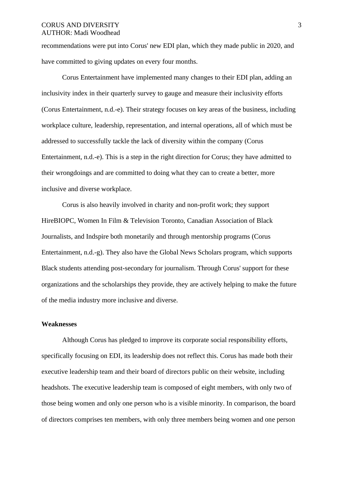recommendations were put into Corus' new EDI plan, which they made public in 2020, and have committed to giving updates on every four months.

Corus Entertainment have implemented many changes to their EDI plan, adding an inclusivity index in their quarterly survey to gauge and measure their inclusivity efforts (Corus Entertainment, n.d.-e). Their strategy focuses on key areas of the business, including workplace culture, leadership, representation, and internal operations, all of which must be addressed to successfully tackle the lack of diversity within the company (Corus Entertainment, n.d.-e). This is a step in the right direction for Corus; they have admitted to their wrongdoings and are committed to doing what they can to create a better, more inclusive and diverse workplace.

Corus is also heavily involved in charity and non-profit work; they support HireBIOPC, Women In Film & Television Toronto, Canadian Association of Black Journalists, and Indspire both monetarily and through mentorship programs (Corus Entertainment, n.d.-g). They also have the Global News Scholars program, which supports Black students attending post-secondary for journalism. Through Corus' support for these organizations and the scholarships they provide, they are actively helping to make the future of the media industry more inclusive and diverse.

#### **Weaknesses**

Although Corus has pledged to improve its corporate social responsibility efforts, specifically focusing on EDI, its leadership does not reflect this. Corus has made both their executive leadership team and their board of directors public on their website, including headshots. The executive leadership team is composed of eight members, with only two of those being women and only one person who is a visible minority. In comparison, the board of directors comprises ten members, with only three members being women and one person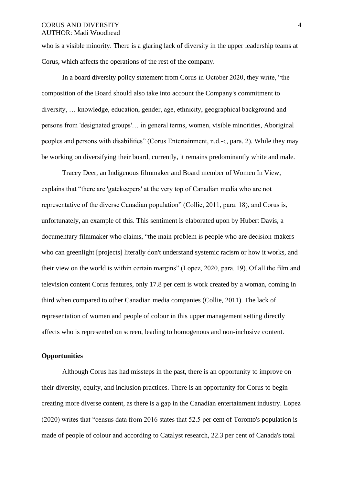who is a visible minority. There is a glaring lack of diversity in the upper leadership teams at Corus, which affects the operations of the rest of the company.

In a board diversity policy statement from Corus in October 2020, they write, "the composition of the Board should also take into account the Company's commitment to diversity, … knowledge, education, gender, age, ethnicity, geographical background and persons from 'designated groups'… in general terms, women, visible minorities, Aboriginal peoples and persons with disabilities" (Corus Entertainment, n.d.-c, para. 2). While they may be working on diversifying their board, currently, it remains predominantly white and male.

Tracey Deer, an Indigenous filmmaker and Board member of Women In View, explains that "there are 'gatekeepers' at the very top of Canadian media who are not representative of the diverse Canadian population" (Collie, 2011, para. 18), and Corus is, unfortunately, an example of this. This sentiment is elaborated upon by Hubert Davis, a documentary filmmaker who claims, "the main problem is people who are decision-makers who can greenlight [projects] literally don't understand systemic racism or how it works, and their view on the world is within certain margins" (Lopez, 2020, para. 19). Of all the film and television content Corus features, only 17.8 per cent is work created by a woman, coming in third when compared to other Canadian media companies (Collie, 2011). The lack of representation of women and people of colour in this upper management setting directly affects who is represented on screen, leading to homogenous and non-inclusive content.

# **Opportunities**

Although Corus has had missteps in the past, there is an opportunity to improve on their diversity, equity, and inclusion practices. There is an opportunity for Corus to begin creating more diverse content, as there is a gap in the Canadian entertainment industry. Lopez (2020) writes that "census data from 2016 states that 52.5 per cent of Toronto's population is made of people of colour and according to Catalyst research, 22.3 per cent of Canada's total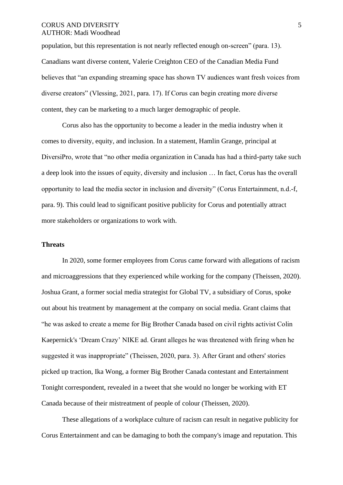population, but this representation is not nearly reflected enough on-screen" (para. 13). Canadians want diverse content, Valerie Creighton CEO of the Canadian Media Fund believes that "an expanding streaming space has shown TV audiences want fresh voices from diverse creators" (Vlessing, 2021, para. 17). If Corus can begin creating more diverse content, they can be marketing to a much larger demographic of people.

Corus also has the opportunity to become a leader in the media industry when it comes to diversity, equity, and inclusion. In a statement, Hamlin Grange, principal at DiversiPro, wrote that "no other media organization in Canada has had a third-party take such a deep look into the issues of equity, diversity and inclusion … In fact, Corus has the overall opportunity to lead the media sector in inclusion and diversity" (Corus Entertainment, n.d.-f, para. 9). This could lead to significant positive publicity for Corus and potentially attract more stakeholders or organizations to work with.

## **Threats**

In 2020, some former employees from Corus came forward with allegations of racism and microaggressions that they experienced while working for the company (Theissen, 2020). Joshua Grant, a former social media strategist for Global TV, a subsidiary of Corus, spoke out about his treatment by management at the company on social media. Grant claims that "he was asked to create a meme for Big Brother Canada based on civil rights activist Colin Kaepernick's 'Dream Crazy' NIKE ad. Grant alleges he was threatened with firing when he suggested it was inappropriate" (Theissen, 2020, para. 3). After Grant and others' stories picked up traction, Ika Wong, a former Big Brother Canada contestant and Entertainment Tonight correspondent, revealed in a tweet that she would no longer be working with ET Canada because of their mistreatment of people of colour (Theissen, 2020).

These allegations of a workplace culture of racism can result in negative publicity for Corus Entertainment and can be damaging to both the company's image and reputation. This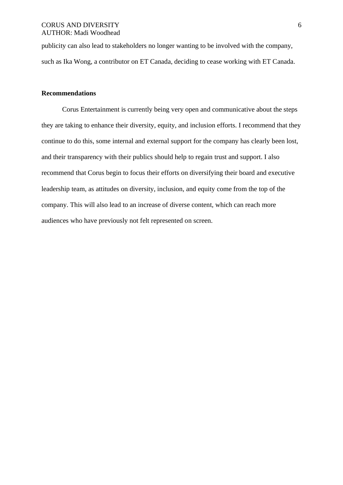publicity can also lead to stakeholders no longer wanting to be involved with the company, such as Ika Wong, a contributor on ET Canada, deciding to cease working with ET Canada.

## **Recommendations**

Corus Entertainment is currently being very open and communicative about the steps they are taking to enhance their diversity, equity, and inclusion efforts. I recommend that they continue to do this, some internal and external support for the company has clearly been lost, and their transparency with their publics should help to regain trust and support. I also recommend that Corus begin to focus their efforts on diversifying their board and executive leadership team, as attitudes on diversity, inclusion, and equity come from the top of the company. This will also lead to an increase of diverse content, which can reach more audiences who have previously not felt represented on screen.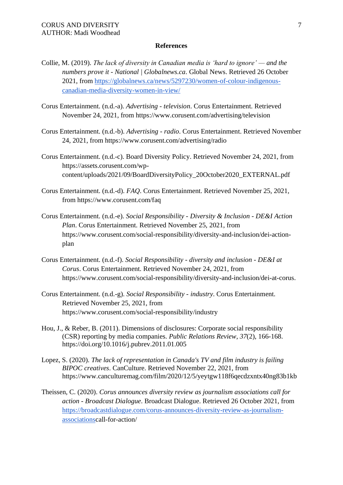#### **References**

- Collie, M. (2019). *The lack of diversity in Canadian media is 'hard to ignore' — and the numbers prove it - National | Globalnews.ca*. Global News. Retrieved 26 October 2021, from https://globalnews.ca/news/5297230/women-of-colour-indigenouscanadian-media-diversity-women-in-view/
- Corus Entertainment. (n.d.-a). *Advertising - television*. Corus Entertainment. Retrieved November 24, 2021, from https://www.corusent.com/advertising/television
- Corus Entertainment. (n.d.-b). *Advertising - radio*. Corus Entertainment. Retrieved November 24, 2021, from https://www.corusent.com/advertising/radio
- Corus Entertainment. (n.d.-c). Board Diversity Policy. Retrieved November 24, 2021, from https://assets.corusent.com/wpcontent/uploads/2021/09/BoardDiversityPolicy\_20October2020\_EXTERNAL.pdf
- Corus Entertainment. (n.d.-d). *FAQ*. Corus Entertainment. Retrieved November 25, 2021, from https://www.corusent.com/faq
- Corus Entertainment. (n.d.-e). *Social Responsibility - Diversity & Inclusion - DE&I Action Plan*. Corus Entertainment. Retrieved November 25, 2021, from https://www.corusent.com/social-responsibility/diversity-and-inclusion/dei-actionplan
- Corus Entertainment. (n.d.-f). *Social Responsibility - diversity and inclusion - DE&I at Corus*. Corus Entertainment. Retrieved November 24, 2021, from https://www.corusent.com/social-responsibility/diversity-and-inclusion/dei-at-corus.
- Corus Entertainment. (n.d.-g). *Social Responsibility - industry*. Corus Entertainment. Retrieved November 25, 2021, from https://www.corusent.com/social-responsibility/industry
- Hou, J., & Reber, B. (2011). Dimensions of disclosures: Corporate social responsibility (CSR) reporting by media companies. *Public Relations Review*, *37*(2), 166-168. https://doi.org/10.1016/j.pubrev.2011.01.005
- Lopez, S. (2020). *The lack of representation in Canada's TV and film industry is failing BIPOC creatives*. CanCulture. Retrieved November 22, 2021, from https://www.canculturemag.com/film/2020/12/5/yeytgw118f6qecdzxntx40ng83b1kb

Theissen, C. (2020). *Corus announces diversity review as journalism associations call for action - Broadcast Dialogue*. Broadcast Dialogue. Retrieved 26 October 2021, from https://broadcastdialogue.com/corus-announces-diversity-review-as-journalismassociationscall-for-action/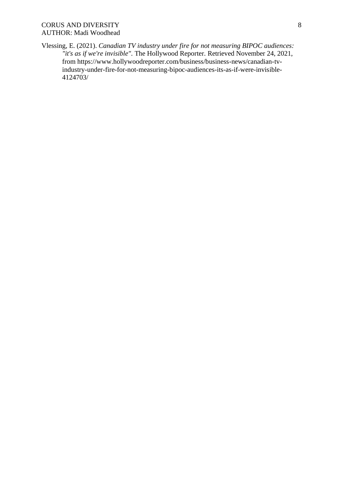Vlessing, E. (2021). *Canadian TV industry under fire for not measuring BIPOC audiences: "it's as if we're invisible"*. The Hollywood Reporter. Retrieved November 24, 2021, from https://www.hollywoodreporter.com/business/business-news/canadian-tvindustry-under-fire-for-not-measuring-bipoc-audiences-its-as-if-were-invisible-4124703/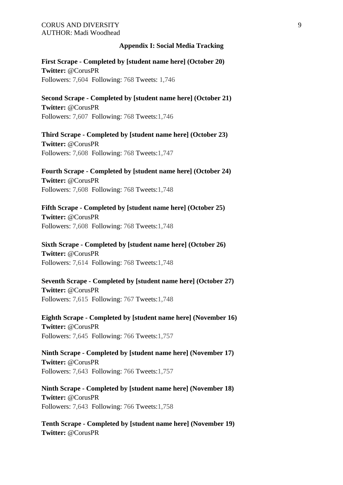## **Appendix I: Social Media Tracking**

**First Scrape - Completed by [student name here] (October 20) Twitter:** @CorusPR Followers: 7,604 Following: 768 Tweets: 1,746

**Second Scrape - Completed by [student name here] (October 21) Twitter:** @CorusPR Followers: 7,607 Following: 768 Tweets:1,746

**Third Scrape - Completed by [student name here] (October 23) Twitter:** @CorusPR Followers: 7,608 Following: 768 Tweets:1,747

**Fourth Scrape - Completed by [student name here] (October 24) Twitter:** @CorusPR Followers: 7,608 Following: 768 Tweets:1,748

**Fifth Scrape - Completed by [student name here] (October 25) Twitter:** @CorusPR Followers: 7,608 Following: 768 Tweets:1,748

**Sixth Scrape - Completed by [student name here] (October 26) Twitter:** @CorusPR Followers: 7,614 Following: 768 Tweets:1,748

**Seventh Scrape - Completed by [student name here] (October 27) Twitter:** @CorusPR Followers: 7,615 Following: 767 Tweets:1,748

**Eighth Scrape - Completed by [student name here] (November 16) Twitter:** @CorusPR Followers: 7,645 Following: 766 Tweets:1,757

**Ninth Scrape - Completed by [student name here] (November 17) Twitter:** @CorusPR Followers: 7,643 Following: 766 Tweets:1,757

**Ninth Scrape - Completed by [student name here] (November 18) Twitter:** @CorusPR Followers: 7,643 Following: 766 Tweets:1,758

**Tenth Scrape - Completed by [student name here] (November 19) Twitter:** @CorusPR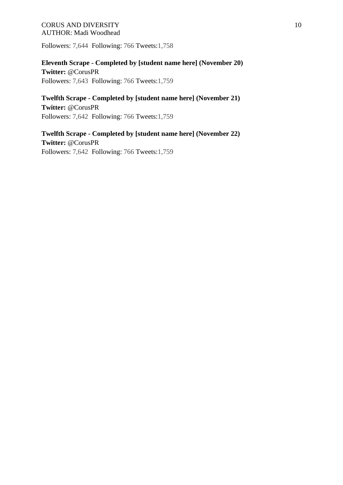Followers: 7,644 Following: 766 Tweets:1,758

**Eleventh Scrape - Completed by [student name here] (November 20) Twitter:** @CorusPR Followers: 7,643 Following: 766 Tweets:1,759

**Twelfth Scrape - Completed by [student name here] (November 21) Twitter:** @CorusPR Followers: 7,642 Following: 766 Tweets:1,759

**Twelfth Scrape - Completed by [student name here] (November 22) Twitter:** @CorusPR Followers: 7,642 Following: 766 Tweets:1,759